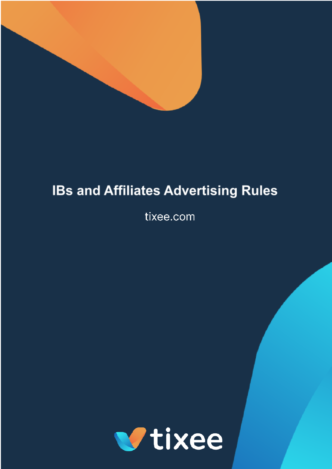

# **IBs and Affiliates Advertising Rules**

tixee.com

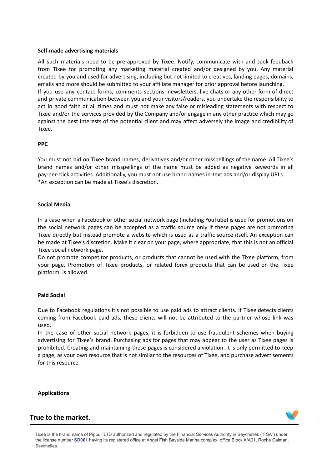#### **Self-made advertising materials**

All such materials need to be pre-approved by Tixee. Notify, communicate with and seek feedback from Tixee for promoting any marketing material created and/or designed by you. Any material created by you and used for advertising, including but not limited to creatives, landing pages, domains, emails and more should be submitted to your affiliate manager for prior approval before launching. If you use any contact forms, comments sections, newsletters, live chats or any other form of direct and private communication between you and your visitors/readers, you undertake the responsibility to act in good faith at all times and must not make any false or misleading statements with respect to Tixee and/or the services provided by the Company and/or engage in any other practice which may go against the best interests of the potential client and may affect adversely the image and credibility of Tixee.

#### **PPC**

You must not bid on Tixee brand names, derivatives and/or other misspellings of the name. All Tixee's brand names and/or other misspellings of the name must be added as negative keywords in all pay-per-click activities. Additionally, you must not use brand names in-text ads and/or display URLs. \*An exception can be made at Tixee's discretion.

#### **Social Media**

In a case when a Facebook or other social network page (including YouTube) is used for promotions on the social network pages can be accepted as a traffic source only if these pages are not promoting Tixee directly but instead promote a website which is used as a traffic source itself. An exception can be made at Tixee's discretion. Make it clear on your page, where appropriate, that this is not an official Tixee social network page.

Do not promote competitor products, or products that cannot be used with the Tixee platform, from your page. Promotion of Tixee products, or related forex products that can be used on the Tixee platform, is allowed.

#### **Paid Social**

Due to Facebook regulations it's not possible to use paid ads to attract clients. If Tixee detects clients coming from Facebook paid ads, these clients will not be attributed to the partner whose link was used.

In the case of other social network pages, it is forbidden to use fraudulent schemes when buying advertising for Tixee's brand. Purchasing ads for pages that may appear to the user as Tixee pages is prohibited. Creating and maintaining these pages is considered a violation. It is only permitted to keep a page, as your own resource that is not similar to the resources of Tixee, and purchase advertisements for this resource.

**Applications**

## True to the market.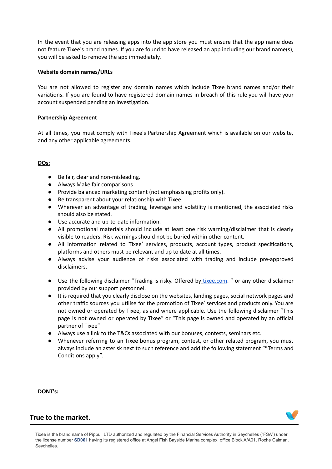In the event that you are releasing apps into the app store you must ensure that the app name does not feature Tixee's brand names. If you are found to have released an app including our brand name(s), you will be asked to remove the app immediately.

## **Website domain names/URLs**

You are not allowed to register any domain names which include Tixee brand names and/or their variations. If you are found to have registered domain names in breach of this rule you will have your account suspended pending an investigation.

## **Partnership Agreement**

At all times, you must comply with Tixee's Partnership Agreement which is available on our website, and any other applicable agreements.

## **DOs:**

- Be fair, clear and non-misleading.
- Always Make fair comparisons
- Provide balanced marketing content (not emphasising profits only).
- Be transparent about your relationship with Tixee.
- Wherever an advantage of trading, leverage and volatility is mentioned, the associated risks should also be stated.
- Use accurate and up-to-date information.
- All promotional materials should include at least one risk warning/disclaimer that is clearly visible to readers. Risk warnings should not be buried within other content.
- All information related to Tixee' services, products, account types, product specifications, platforms and others must be relevant and up to date at all times.
- Always advise your audience of risks associated with trading and include pre-approved disclaimers.
- Use the following disclaimer "Trading is risky. Offered by [tixee.com.](http://tixee.com/) " or any other disclaimer provided by our support personnel.
- It is required that you clearly disclose on the websites, landing pages, social network pages and other traffic sources you utilise for the promotion of Tixee' services and products only. You are not owned or operated by Tixee, as and where applicable. Use the following disclaimer "This page is not owned or operated by Tixee" or "This page is owned and operated by an official partner of Tixee"
- Always use a link to the T&Cs associated with our bonuses, contests, seminars etc.
- Whenever referring to an Tixee bonus program, contest, or other related program, you must always include an asterisk next to such reference and add the following statement "\*Terms and Conditions apply".

**DONT's:**

# True to the market.

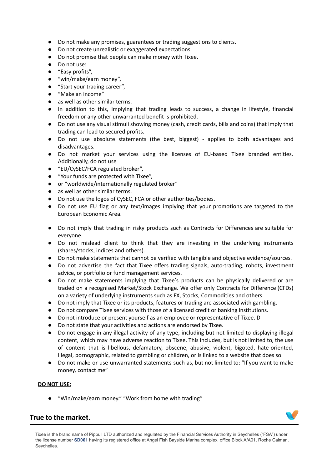- Do not make any promises, guarantees or trading suggestions to clients.
- Do not create unrealistic or exaggerated expectations.
- Do not promise that people can make money with Tixee.
- Do not use:
- "Easy profits",
- "win/make/earn money",
- "Start your trading career",
- "Make an income"
- as well as other similar terms.
- In addition to this, implying that trading leads to success, a change in lifestyle, financial freedom or any other unwarranted benefit is prohibited.
- Do not use any visual stimuli showing money (cash, credit cards, bills and coins) that imply that trading can lead to secured profits.
- Do not use absolute statements (the best, biggest) applies to both advantages and disadvantages.
- Do not market your services using the licenses of EU-based Tixee branded entities. Additionally, do not use
- "EU/CySEC/FCA regulated broker",
- "Your funds are protected with Tixee",
- or "worldwide/internationally regulated broker"
- as well as other similar terms.
- Do not use the logos of CySEC, FCA or other authorities/bodies.
- Do not use EU flag or any text/images implying that your promotions are targeted to the European Economic Area.
- Do not imply that trading in risky products such as Contracts for Differences are suitable for everyone.
- Do not mislead client to think that they are investing in the underlying instruments (shares/stocks, indices and others).
- Do not make statements that cannot be verified with tangible and objective evidence/sources.
- Do not advertise the fact that Tixee offers trading signals, auto-trading, robots, investment advice, or portfolio or fund management services.
- Do not make statements implying that Tixee's products can be physically delivered or are traded on a recognised Market/Stock Exchange. We offer only Contracts for Difference (CFDs) on a variety of underlying instruments such as FX, Stocks, Commodities and others.
- Do not imply that Tixee or its products, features or trading are associated with gambling.
- Do not compare Tixee services with those of a licensed credit or banking institutions.
- Do not introduce or present yourself as an employee or representative of Tixee. D
- Do not state that your activities and actions are endorsed by Tixee.
- Do not engage in any illegal activity of any type, including but not limited to displaying illegal content, which may have adverse reaction to Tixee. This includes, but is not limited to, the use of content that is libellous, defamatory, obscene, abusive, violent, bigoted, hate-oriented, illegal, pornographic, related to gambling or children, or is linked to a website that does so.
- Do not make or use unwarranted statements such as, but not limited to: "If you want to make money, contact me"

## **DO NOT USE:**

● "Win/make/earn money." "Work from home with trading"

# True to the market.